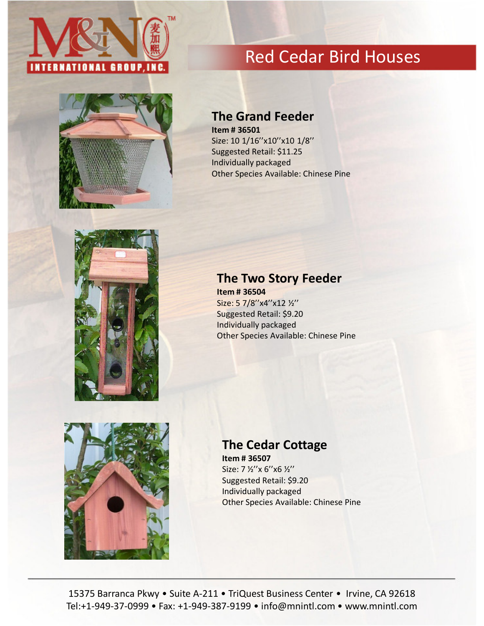



# Red Cedar Bird Houses

## The Grand Feeder

Item # 36501 Size: 10 1/16"x10"x10 1/8" Suggested Retail: \$11.25 Individually packaged Other Species Available: Chinese Pine



#### The Two Story Feeder

Item # 36504 Size: 5 7/8"x4"x12 1/2" Suggested Retail: \$9.20 Individually packaged Other Species Available: Chinese Pine



## The Cedar Cottage

Item # 36507 Size: 7 ½''x 6''x6 ½'' Suggested Retail: \$9.20 Individually packaged Other Species Available: Chinese Pine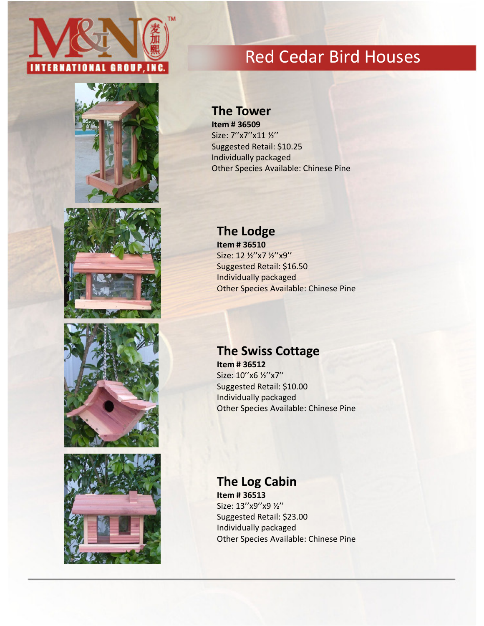









# Red Cedar Bird Houses

#### The Tower

Item # 36509 Size: 7''x7''x11 ½'' Suggested Retail: \$10.25 Individually packaged Other Species Available: Chinese Pine

## The Lodge

Item # 36510 Size: 12 ½''x7 ½''x9'' Suggested Retail: \$16.50 Individually packaged Other Species Available: Chinese Pine

## The Swiss Cottage

Item # 36512 Size: 10"x6 1/2"x7" Suggested Retail: \$10.00 Individually packaged Other Species Available: Chinese Pine

### The Log Cabin

Item # 36513 Size: 13"x9"x9 1/2" Suggested Retail: \$23.00 Individually packaged Other Species Available: Chinese Pine